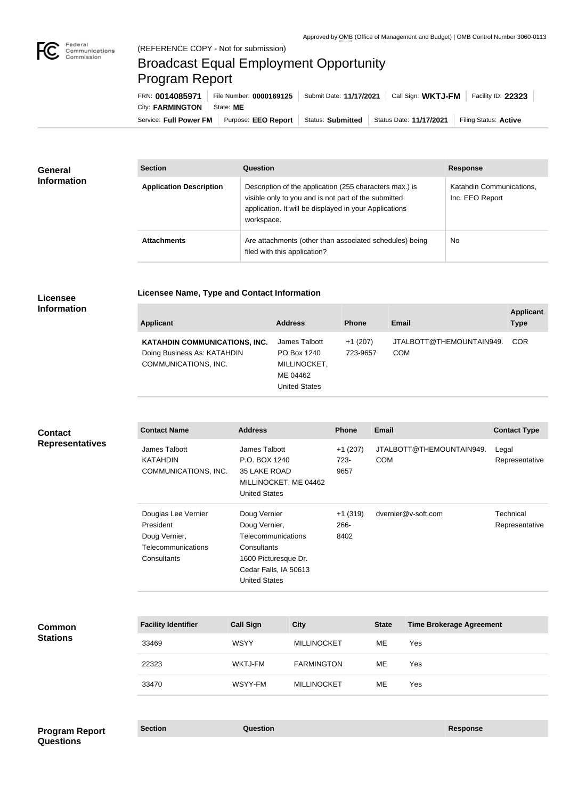

## (REFERENCE COPY - Not for submission) Broadcast Equal Employment Opportunity Program Report

Service: Full Power FM Purpose: EEO Report | Status: Submitted | Status Date: 11/17/2021 | Filing Status: Active City: **FARMINGTON** | State: ME FRN: **0014085971** File Number: **0000169125** Submit Date: **11/17/2021** Call Sign: **WKTJ-FM** Facility ID: **22323**

| General<br><b>Information</b> | <b>Section</b>                 | Question                                                                                                                                                                                | <b>Response</b>                             |  |
|-------------------------------|--------------------------------|-----------------------------------------------------------------------------------------------------------------------------------------------------------------------------------------|---------------------------------------------|--|
|                               | <b>Application Description</b> | Description of the application (255 characters max.) is<br>visible only to you and is not part of the submitted<br>application. It will be displayed in your Applications<br>workspace. | Katahdin Communications,<br>Inc. EEO Report |  |
|                               | <b>Attachments</b>             | Are attachments (other than associated schedules) being<br>filed with this application?                                                                                                 | <b>No</b>                                   |  |

**Licensee Name, Type and Contact Information**

## **Licensee Information**

| <b>Applicant</b>                                                                            | <b>Address</b>                                                                   | <b>Phone</b>          | <b>Email</b>                           | <b>Applicant</b><br><b>Type</b> |
|---------------------------------------------------------------------------------------------|----------------------------------------------------------------------------------|-----------------------|----------------------------------------|---------------------------------|
| <b>KATAHDIN COMMUNICATIONS, INC.</b><br>Doing Business As: KATAHDIN<br>COMMUNICATIONS, INC. | James Talbott<br>PO Box 1240<br>MILLINOCKET,<br>ME 04462<br><b>United States</b> | $+1(207)$<br>723-9657 | JTALBOTT@THEMOUNTAIN949.<br><b>COM</b> | <b>COR</b>                      |

| <b>Contact</b><br><b>Representatives</b> | <b>Contact Name</b>                                                                    | <b>Address</b>                                                                                                                                     | <b>Phone</b>              | <b>Email</b>                           | <b>Contact Type</b>         |
|------------------------------------------|----------------------------------------------------------------------------------------|----------------------------------------------------------------------------------------------------------------------------------------------------|---------------------------|----------------------------------------|-----------------------------|
|                                          | James Talbott<br><b>KATAHDIN</b><br>COMMUNICATIONS, INC.                               | James Talbott<br>P.O. BOX 1240<br>35 LAKE ROAD<br>MILLINOCKET, ME 04462<br><b>United States</b>                                                    | $+1(207)$<br>723-<br>9657 | JTALBOTT@THEMOUNTAIN949.<br><b>COM</b> | Legal<br>Representative     |
|                                          | Douglas Lee Vernier<br>President<br>Doug Vernier,<br>Telecommunications<br>Consultants | Doug Vernier<br>Doug Vernier,<br><b>Telecommunications</b><br>Consultants<br>1600 Picturesque Dr.<br>Cedar Falls, IA 50613<br><b>United States</b> | $+1(319)$<br>266-<br>8402 | dvernier@v-soft.com                    | Technical<br>Representative |

| <b>Facility Identifier</b> | <b>Call Sign</b> | <b>City</b>        | <b>State</b> | <b>Time Brokerage Agreement</b> |
|----------------------------|------------------|--------------------|--------------|---------------------------------|
| 33469                      | <b>WSYY</b>      | <b>MILLINOCKET</b> | МE           | Yes                             |
| 22323                      | <b>WKTJ-FM</b>   | <b>FARMINGTON</b>  | ME           | Yes                             |
| 33470                      | WSYY-FM          | <b>MILLINOCKET</b> | МE           | Yes                             |

**Section Question Response Program Report Questions**

**Common Stations**